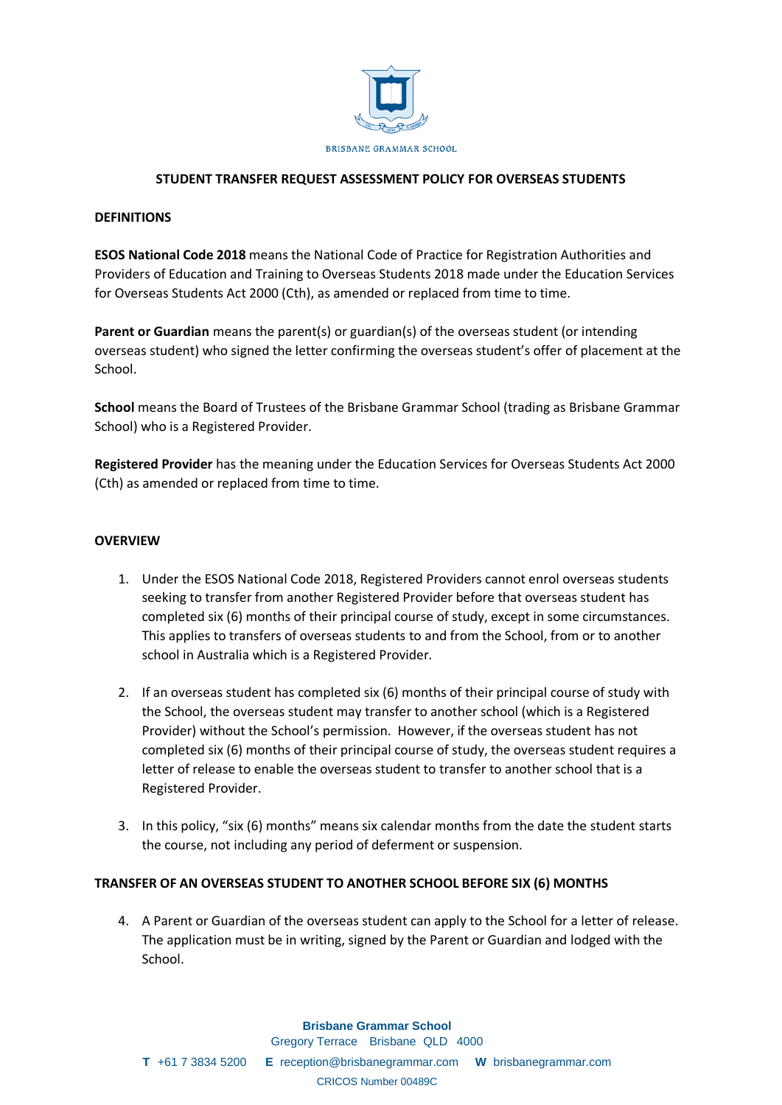

## **STUDENT TRANSFER REQUEST ASSESSMENT POLICY FOR OVERSEAS STUDENTS**

#### **DEFINITIONS**

**ESOS National Code 2018** means the National Code of Practice for Registration Authorities and Providers of Education and Training to Overseas Students 2018 made under the Education Services for Overseas Students Act 2000 (Cth), as amended or replaced from time to time.

**Parent or Guardian** means the parent(s) or guardian(s) of the overseas student (or intending overseas student) who signed the letter confirming the overseas student's offer of placement at the School.

**School** means the Board of Trustees of the Brisbane Grammar School (trading as Brisbane Grammar School) who is a Registered Provider.

**Registered Provider** has the meaning under the Education Services for Overseas Students Act 2000 (Cth) as amended or replaced from time to time.

## **OVERVIEW**

- 1. Under the ESOS National Code 2018, Registered Providers cannot enrol overseas students seeking to transfer from another Registered Provider before that overseas student has completed six (6) months of their principal course of study, except in some circumstances. This applies to transfers of overseas students to and from the School, from or to another school in Australia which is a Registered Provider.
- 2. If an overseas student has completed six (6) months of their principal course of study with the School, the overseas student may transfer to another school (which is a Registered Provider) without the School's permission. However, if the overseas student has not completed six (6) months of their principal course of study, the overseas student requires a letter of release to enable the overseas student to transfer to another school that is a Registered Provider.
- 3. In this policy, "six (6) months" means six calendar months from the date the student starts the course, not including any period of deferment or suspension.

#### **TRANSFER OF AN OVERSEAS STUDENT TO ANOTHER SCHOOL BEFORE SIX (6) MONTHS**

4. A Parent or Guardian of the overseas student can apply to the School for a letter of release. The application must be in writing, signed by the Parent or Guardian and lodged with the School.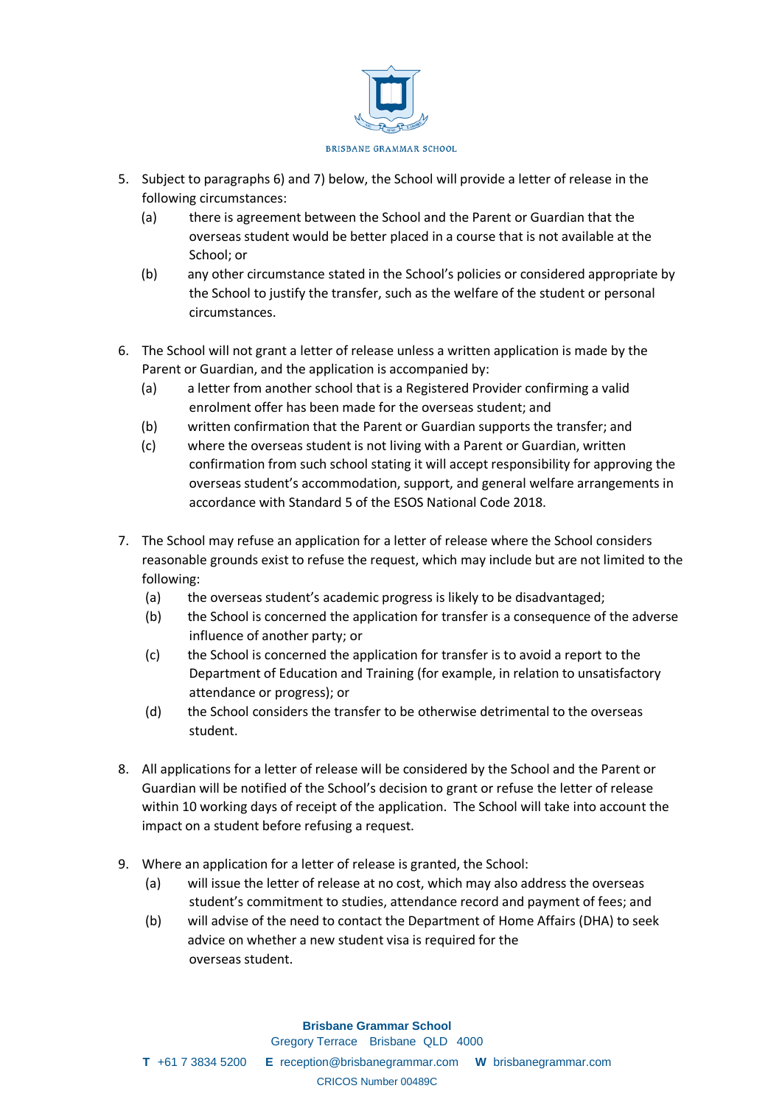

- 5. Subject to paragraphs 6) and 7) below, the School will provide a letter of release in the following circumstances:
	- (a) there is agreement between the School and the Parent or Guardian that the overseas student would be better placed in a course that is not available at the School; or
	- (b) any other circumstance stated in the School's policies or considered appropriate by the School to justify the transfer, such as the welfare of the student or personal circumstances.
- 6. The School will not grant a letter of release unless a written application is made by the Parent or Guardian, and the application is accompanied by:
	- (a) a letter from another school that is a Registered Provider confirming a valid enrolment offer has been made for the overseas student; and
	- (b) written confirmation that the Parent or Guardian supports the transfer; and
	- (c) where the overseas student is not living with a Parent or Guardian, written confirmation from such school stating it will accept responsibility for approving the overseas student's accommodation, support, and general welfare arrangements in accordance with Standard 5 of the ESOS National Code 2018.
- 7. The School may refuse an application for a letter of release where the School considers reasonable grounds exist to refuse the request, which may include but are not limited to the following:
	- (a) the overseas student's academic progress is likely to be disadvantaged;
	- (b) the School is concerned the application for transfer is a consequence of the adverse influence of another party; or
	- (c) the School is concerned the application for transfer is to avoid a report to the Department of Education and Training (for example, in relation to unsatisfactory attendance or progress); or
	- (d) the School considers the transfer to be otherwise detrimental to the overseas student.
- 8. All applications for a letter of release will be considered by the School and the Parent or Guardian will be notified of the School's decision to grant or refuse the letter of release within 10 working days of receipt of the application. The School will take into account the impact on a student before refusing a request.
- 9. Where an application for a letter of release is granted, the School:
	- (a) will issue the letter of release at no cost, which may also address the overseas student's commitment to studies, attendance record and payment of fees; and
	- (b) will advise of the need to contact the Department of Home Affairs (DHA) to seek advice on whether a new student visa is required for the overseas student.